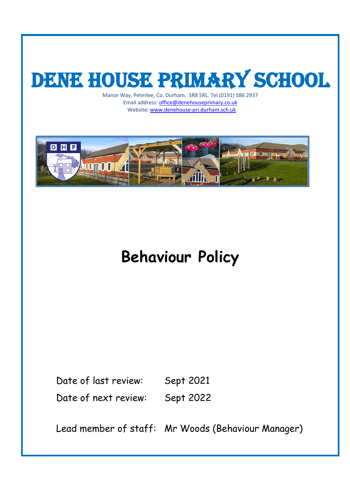# DENE HOUSE PRIMARY SCHOOL

Manor Way, Peterlee, Co. Durham. SR8 5RL. Tel (0191) 586 2937 Email address: [office@denehouseprimary.co.uk](mailto:office@denehouseprimary.co.uk) Website[: www.denehouse-pri.durham.sch.uk](http://www.denehouse-pri.durham.sch.uk/)



## **Behaviour Policy**

Date of last review: Sept 2021 Date of next review: Sept 2022

Lead member of staff: Mr Woods (Behaviour Manager)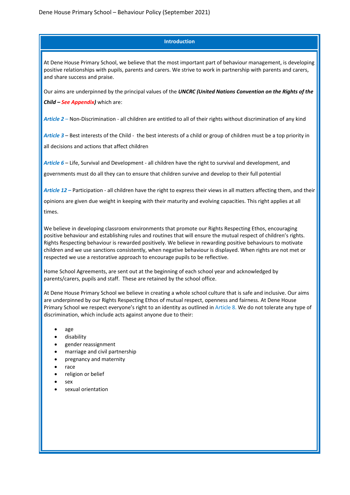#### **Introduction**

At Dene House Primary School, we believe that the most important part of behaviour management, is developing positive relationships with pupils, parents and carers. We strive to work in partnership with parents and carers, and share success and praise.

Our aims are underpinned by the principal values of the *UNCRC (United Nations Convention on the Rights of the* 

*Child – See Appendix)* which are:

*Article 2* – Non-Discrimination - all children are entitled to all of their rights without discrimination of any kind

*Article 3* – Best interests of the Child - the best interests of a child or group of children must be a top priority in all decisions and actions that affect children

*Article 6* – Life, Survival and Development - all children have the right to survival and development, and governments must do all they can to ensure that children survive and develop to their full potential

*Article 12 –* Participation - all children have the right to express their views in all matters affecting them, and their

opinions are given due weight in keeping with their maturity and evolving capacities. This right applies at all times.

We believe in developing classroom environments that promote our Rights Respecting Ethos, encouraging positive behaviour and establishing rules and routines that will ensure the mutual respect of children's rights. Rights Respecting behaviour is rewarded positively. We believe in rewarding positive behaviours to motivate children and we use sanctions consistently, when negative behaviour is displayed. When rights are not met or respected we use a restorative approach to encourage pupils to be reflective.

Home School Agreements, are sent out at the beginning of each school year and acknowledged by parents/carers, pupils and staff. These are retained by the school office.

At Dene House Primary School we believe in creating a whole school culture that is safe and inclusive. Our aims are underpinned by our Rights Respecting Ethos of mutual respect, openness and fairness. At Dene House Primary School we respect everyone's right to an identity as outlined in Article 8. We do not tolerate any type of discrimination, which include acts against anyone due to their:

- age
- disability
- gender reassignment
- marriage and civil partnership
- pregnancy and maternity
- race
- religion or belief
- sex
- sexual orientation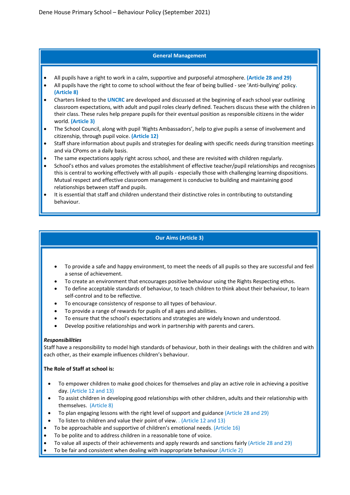#### **General Management**

- All pupils have a right to work in a calm, supportive and purposeful atmosphere. **(Article 28 and 29)**
- All pupils have the right to come to school without the fear of being bullied see 'Anti-bullying' policy**. (Article 8)**
- Charters linked to the **UNCRC** are developed and discussed at the beginning of each school year outlining classroom expectations, with adult and pupil roles clearly defined. Teachers discuss these with the children in their class. These rules help prepare pupils for their eventual position as responsible citizens in the wider world. **(Article 3)**
- The School Council, along with pupil 'Rights Ambassadors', help to give pupils a sense of involvement and citizenship, through pupil voice. **(Article 12)**
- Staff share information about pupils and strategies for dealing with specific needs during transition meetings and via CPoms on a daily basis.
- The same expectations apply right across school, and these are revisited with children regularly.
- School's ethos and values promotes the establishment of effective teacher/pupil relationships and recognises this is central to working effectively with all pupils - especially those with challenging learning dispositions. Mutual respect and effective classroom management is conducive to building and maintaining good relationships between staff and pupils.
- It is essential that staff and children understand their distinctive roles in contributing to outstanding behaviour.

#### **Our Aims (Article 3)**

- To provide a safe and happy environment, to meet the needs of all pupils so they are successful and feel a sense of achievement.
- To create an environment that encourages positive behaviour using the Rights Respecting ethos.
- To define acceptable standards of behaviour, to teach children to think about their behaviour, to learn self-control and to be reflective.
- To encourage consistency of response to all types of behaviour.
- To provide a range of rewards for pupils of all ages and abilities.
- To ensure that the school's expectations and strategies are widely known and understood.
- Develop positive relationships and work in partnership with parents and carers.

#### *Responsibilities*

Staff have a responsibility to model high standards of behaviour, both in their dealings with the children and with each other, as their example influences children's behaviour.

#### **The Role of Staff at school is:**

- To empower children to make good choices for themselves and play an active role in achieving a positive day. (Article 12 and 13)
- To assist children in developing good relationships with other children, adults and their relationship with themselves. (Article 8)
- To plan engaging lessons with the right level of support and guidance (Article 28 and 29)
- To listen to children and value their point of view. . (Article 12 and 13)
- To be approachable and supportive of children's emotional needs. (Article 16)
- To be polite and to address children in a reasonable tone of voice.
- To value all aspects of their achievements and apply rewards and sanctions fairly (Article 28 and 29)
- To be fair and consistent when dealing with inappropriate behaviour.(Article 2)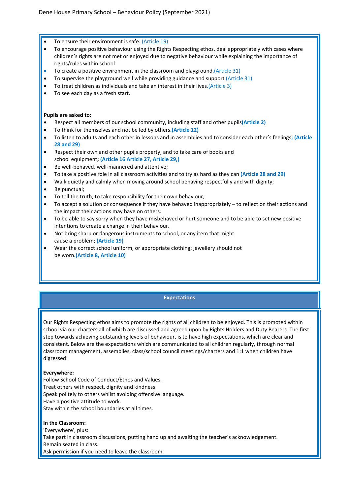- To ensure their environment is safe. (Article 19)
- To encourage positive behaviour using the Rights Respecting ethos, deal appropriately with cases where children's rights are not met or enjoyed due to negative behaviour while explaining the importance of rights/rules within school
- To create a positive environment in the classroom and playground.(Article 31)
- To supervise the playground well while providing guidance and support (Article 31)
- To treat children as individuals and take an interest in their lives.(Article 3)
- To see each day as a fresh start.

#### **Pupils are asked to:**

- Respect all members of our school community, including staff and other pupils**(Article 2)**
- To think for themselves and not be led by others**.(Article 12)**
- To listen to adults and each other in lessons and in assemblies and to consider each other's feelings**; (Article 28 and 29)**
- Respect their own and other pupils property, and to take care of books and school equipment**; (Article 16 Article 27, Article 29,)**
- Be well-behaved, well-mannered and attentive;
- To take a positive role in all classroom activities and to try as hard as they can **(Article 28 and 29)**
- Walk quietly and calmly when moving around school behaving respectfully and with dignity;
- Be punctual;
- To tell the truth, to take responsibility for their own behaviour;
- To accept a solution or consequence if they have behaved inappropriately  $-$  to reflect on their actions and the impact their actions may have on others.
- To be able to say sorry when they have misbehaved or hurt someone and to be able to set new positive intentions to create a change in their behaviour.
- Not bring sharp or dangerous instruments to school, or any item that might cause a problem; **(Article 19)**
- Wear the correct school uniform, or appropriate clothing; jewellery should not be worn**.(Article 8, Article 10)**

#### **Expectations**

Our Rights Respecting ethos aims to promote the rights of all children to be enjoyed. This is promoted within school via our charters all of which are discussed and agreed upon by Rights Holders and Duty Bearers. The first step towards achieving outstanding levels of behaviour, is to have high expectations, which are clear and consistent. Below are the expectations which are communicated to all children regularly, through normal classroom management, assemblies, class/school council meetings/charters and 1:1 when children have digressed:

#### **Everywhere:**

Follow School Code of Conduct/Ethos and Values. Treat others with respect, dignity and kindness Speak politely to others whilst avoiding offensive language. Have a positive attitude to work. Stay within the school boundaries at all times.

#### **In the Classroom:**

'Everywhere', plus: Take part in classroom discussions, putting hand up and awaiting the teacher's acknowledgement. Remain seated in class. Ask permission if you need to leave the classroom.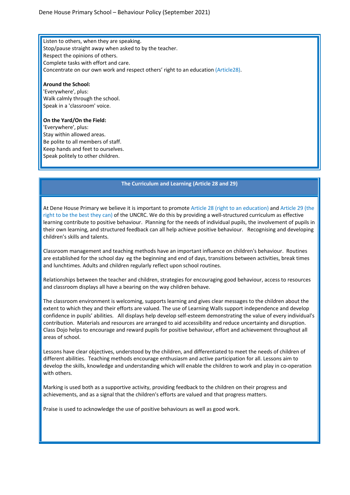Listen to others, when they are speaking. Stop/pause straight away when asked to by the teacher. Respect the opinions of others. Complete tasks with effort and care. Concentrate on our own work and respect others' right to an education (Article28).

#### **Around the School:**

'Everywhere', plus: Walk calmly through the school. Speak in a 'classroom' voice.

#### **On the Yard/On the Field:**

'Everywhere', plus: Stay within allowed areas. Be polite to all members of staff. Keep hands and feet to ourselves. Speak politely to other children.

#### **The Curriculum and Learning (Article 28 and 29)**

At Dene House Primary we believe it is important to promote Article 28 (right to an education) and Article 29 (the right to be the best they can) of the UNCRC. We do this by providing a well-structured curriculum as effective learning contribute to positive behaviour. Planning for the needs of individual pupils, the involvement of pupils in their own learning, and structured feedback can all help achieve positive behaviour. Recognising and developing children's skills and talents.

Classroom management and teaching methods have an important influence on children's behaviour. Routines are established for the school day eg the beginning and end of days, transitions between activities, break times and lunchtimes. Adults and children regularly reflect upon school routines.

Relationships between the teacher and children, strategies for encouraging good behaviour, access to resources and classroom displays all have a bearing on the way children behave.

The classroom environment is welcoming, supports learning and gives clear messages to the children about the extent to which they and their efforts are valued. The use of Learning Walls support independence and develop confidence in pupils' abilities. All displays help develop self-esteem demonstrating the value of every individual's contribution. Materials and resources are arranged to aid accessibility and reduce uncertainty and disruption. Class Dojo helps to encourage and reward pupils for positive behaviour, effort and achievement throughout all areas of school.

Lessons have clear objectives, understood by the children, and differentiated to meet the needs of children of different abilities. Teaching methods encourage enthusiasm and active participation for all. Lessons aim to develop the skills, knowledge and understanding which will enable the children to work and play in co-operation with others.

Marking is used both as a supportive activity, providing feedback to the children on their progress and achievements, and as a signal that the children's efforts are valued and that progress matters.

Praise is used to acknowledge the use of positive behaviours as well as good work.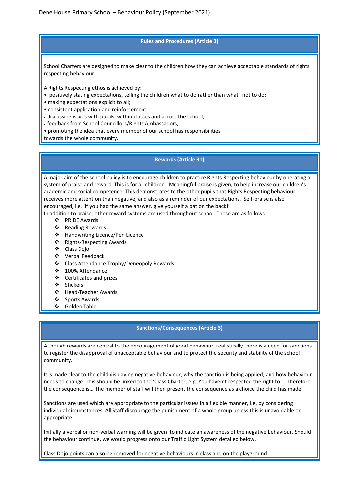#### **Rules and Procedures (Article 3)**

School Charters are designed to make clear to the children how they can achieve acceptable standards of rights respecting behaviour.

A Rights Respecting ethos is achieved by:

- positively stating expectations, telling the children what to do rather than what not to do;
- making expectations explicit to all;
- consistent application and reinforcement;
- discussing issues with pupils, within classes and across the school;
- feedback from School Councillors/Rights Ambassadors;
- promoting the idea that every member of our school has responsibilities

towards the whole community.

#### **Rewards (Article 31)**

A major aim of the school policy is to encourage children to practice Rights Respecting behaviour by operating a system of praise and reward. This is for all children. Meaningful praise is given, to help increase our children's academic and social competence. This demonstrates to the other pupils that Rights Respecting behaviour receives more attention than negative, and also as a reminder of our expectations. Self-praise is also encouraged, i.e. 'If you had the same answer, give yourself a pat on the back!'

In addition to praise, other reward systems are used throughout school. These are as follows:

- ❖ PRIDE Awards
- ❖ Reading Rewards
- Handwriting Licence/Pen Licence
- ❖ Rights-Respecting Awards
- Class Dojo
- Verbal Feedback
- ❖ Class Attendance Trophy/Deneopoly Rewards
- 100% Attendance
- Certificates and prizes
- Stickers
- Head-Teacher Awards
- ❖ Sports Awards
- Golden Table

#### **Sanctions/Consequences (Article 3)**

Although rewards are central to the encouragement of good behaviour, realistically there is a need for sanctions to register the disapproval of unacceptable behaviour and to protect the security and stability of the school community.

It is made clear to the child displaying negative behaviour, why the sanction is being applied, and how behaviour needs to change. This should be linked to the 'Class Charter, e.g. You haven't respected the right to … Therefore the consequence is… The member of staff will then present the consequence as a choice the child has made.

Sanctions are used which are appropriate to the particular issues in a flexible manner, i.e. by considering individual circumstances. All Staff discourage the punishment of a whole group unless this is unavoidable or appropriate.

Initially a verbal or non-verbal warning will be given to indicate an awareness of the negative behaviour. Should the behaviour continue, we would progress onto our Traffic Light System detailed below.

Class Dojo points can also be removed for negative behaviours in class and on the playground.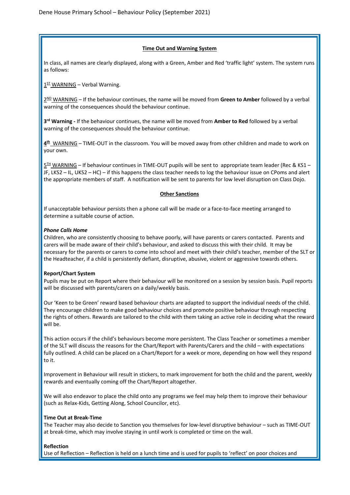#### **Time Out and Warning System**

In class, all names are clearly displayed, along with a Green, Amber and Red 'traffic light' system. The system runs as follows:

 $1<sup>ST</sup>$  WARNING – Verbal Warning.

2ND WARNING – If the behaviour continues, the name will be moved from **Green to Amber** followed by a verbal warning of the consequences should the behaviour continue.

**3rd Warning -** If the behaviour continues, the name will be moved from **Amber to Red** followed by a verbal warning of the consequences should the behaviour continue.

**4th** WARNING – TIME-OUT in the classroom. You will be moved away from other children and made to work on your own.

 $5<sup>TH</sup>$  WARNING – If behaviour continues in TIME-OUT pupils will be sent to appropriate team leader (Rec & KS1 -JF, LKS2 – IL, UKS2 – HC) – if this happens the class teacher needs to log the behaviour issue on CPoms and alert the appropriate members of staff. A notification will be sent to parents for low level disruption on Class Dojo.

#### **Other Sanctions**

If unacceptable behaviour persists then a phone call will be made or a face-to-face meeting arranged to determine a suitable course of action.

#### *Phone Calls Home*

Children, who are consistently choosing to behave poorly, will have parents or carers contacted. Parents and carers will be made aware of their child's behaviour, and asked to discuss this with their child. It may be necessary for the parents or carers to come into school and meet with their child's teacher, member of the SLT or the Headteacher, if a child is persistently defiant, disruptive, abusive, violent or aggressive towards others.

#### **Report/Chart System**

Pupils may be put on Report where their behaviour will be monitored on a session by session basis. Pupil reports will be discussed with parents/carers on a daily/weekly basis.

Our 'Keen to be Green' reward based behaviour charts are adapted to support the individual needs of the child. They encourage children to make good behaviour choices and promote positive behaviour through respecting the rights of others. Rewards are tailored to the child with them taking an active role in deciding what the reward will be.

This action occurs if the child's behaviours become more persistent. The Class Teacher or sometimes a member of the SLT will discuss the reasons for the Chart/Report with Parents/Carers and the child – with expectations fully outlined. A child can be placed on a Chart/Report for a week or more, depending on how well they respond to it.

Improvement in Behaviour will result in stickers, to mark improvement for both the child and the parent, weekly rewards and eventually coming off the Chart/Report altogether.

We will also endeavor to place the child onto any programs we feel may help them to improve their behaviour (such as Relax-Kids, Getting Along, School Councilor, etc).

#### **Time Out at Break-Time**

The Teacher may also decide to Sanction you themselves for low-level disruptive behaviour – such as TIME-OUT at break-time, which may involve staying in until work is completed or time on the wall.

#### **Reflection**

Use of Reflection – Reflection is held on a lunch time and is used for pupils to 'reflect' on poor choices and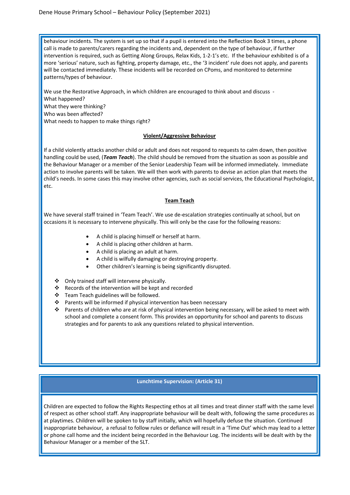behaviour incidents. The system is set up so that if a pupil is entered into the Reflection Book 3 times, a phone call is made to parents/carers regarding the incidents and, dependent on the type of behaviour, if further intervention is required, such as Getting Along Groups, Relax Kids, 1-2-1's etc. If the behaviour exhibited is of a more 'serious' nature, such as fighting, property damage, etc., the '3 incident' rule does not apply, and parents will be contacted immediately. These incidents will be recorded on CPoms, and monitored to determine patterns/types of behaviour.

We use the Restorative Approach, in which children are encouraged to think about and discuss - What happened? What they were thinking? Who was been affected? What needs to happen to make things right?

#### **Violent/Aggressive Behaviour**

If a child violently attacks another child or adult and does not respond to requests to calm down, then positive handling could be used, (*Team Teach*). The child should be removed from the situation as soon as possible and the Behaviour Manager or a member of the Senior Leadership Team will be informed immediately. Immediate action to involve parents will be taken. We will then work with parents to devise an action plan that meets the child's needs. In some cases this may involve other agencies, such as social services, the Educational Psychologist, etc.

#### **Team Teach**

We have several staff trained in 'Team Teach'. We use de-escalation strategies continually at school, but on occasions it is necessary to intervene physically. This will only be the case for the following reasons:

- A child is placing himself or herself at harm.
- A child is placing other children at harm.
- A child is placing an adult at harm.
- A child is wilfully damaging or destroying property.
- Other children's learning is being significantly disrupted.
- Only trained staff will intervene physically.
- ❖ Records of the intervention will be kept and recorded
- Team Teach guidelines will be followed.
- ❖ Parents will be informed if physical intervention has been necessary
- Parents of children who are at risk of physical intervention being necessary, will be asked to meet with school and complete a consent form. This provides an opportunity for school and parents to discuss strategies and for parents to ask any questions related to physical intervention.

#### **Lunchtime Supervision: (Article 31)**

Children are expected to follow the Rights Respecting ethos at all times and treat dinner staff with the same level of respect as other school staff. Any inappropriate behaviour will be dealt with, following the same procedures as at playtimes. Children will be spoken to by staff initially, which will hopefully defuse the situation. Continued inappropriate behaviour, a refusal to follow rules or defiance will result in a 'Time Out' which may lead to a letter or phone call home and the incident being recorded in the Behaviour Log. The incidents will be dealt with by the Behaviour Manager or a member of the SLT.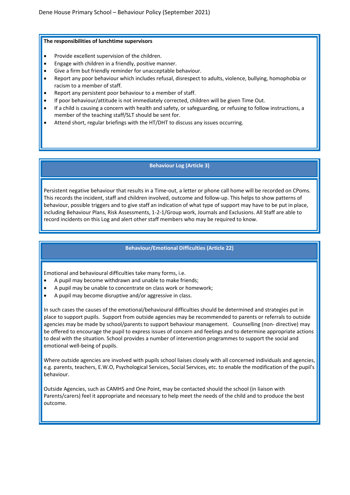#### **The responsibilities of lunchtime supervisors**

- Provide excellent supervision of the children.
- Engage with children in a friendly, positive manner.
- Give a firm but friendly reminder for unacceptable behaviour.
- Report any poor behaviour which includes refusal, disrespect to adults, violence, bullying, homophobia or racism to a member of staff.
- Report any persistent poor behaviour to a member of staff.
- If poor behaviour/attitude is not immediately corrected, children will be given Time Out.
- If a child is causing a concern with health and safety, or safeguarding, or refusing to follow instructions, a member of the teaching staff/SLT should be sent for.
- Attend short, regular briefings with the HT/DHT to discuss any issues occurring.

#### **Behaviour Log (Article 3)**

Persistent negative behaviour that results in a Time-out, a letter or phone call home will be recorded on CPoms. This records the incident, staff and children involved, outcome and follow-up. This helps to show patterns of behaviour, possible triggers and to give staff an indication of what type of support may have to be put in place, including Behaviour Plans, Risk Assessments, 1-2-1/Group work, Journals and Exclusions. All Staff are able to record incidents on this Log and alert other staff members who may be required to know.

#### **Behaviour/Emotional Difficulties (Article 22)**

Emotional and behavioural difficulties take many forms, i.e.

- A pupil may become withdrawn and unable to make friends;
- A pupil may be unable to concentrate on class work or homework;
- A pupil may become disruptive and/or aggressive in class.

In such cases the causes of the emotional/behavioural difficulties should be determined and strategies put in place to support pupils. Support from outside agencies may be recommended to parents or referrals to outside agencies may be made by school/parents to support behaviour management. Counselling (non- directive) may be offered to encourage the pupil to express issues of concern and feelings and to determine appropriate actions to deal with the situation. School provides a number of intervention programmes to support the social and emotional well-being of pupils.

Where outside agencies are involved with pupils school liaises closely with all concerned individuals and agencies, e.g. parents, teachers, E.W.O, Psychological Services, Social Services, etc. to enable the modification of the pupil's behaviour.

Outside Agencies, such as CAMHS and One Point, may be contacted should the school (in liaison with Parents/carers) feel it appropriate and necessary to help meet the needs of the child and to produce the best outcome.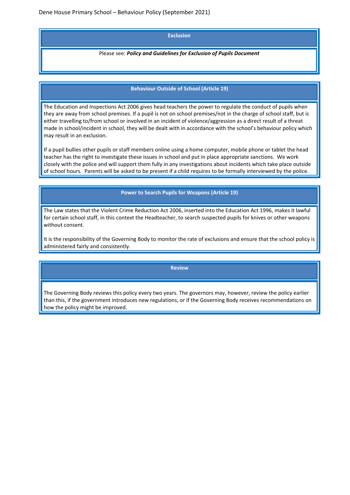#### **Exclusion**

Please see: *Policy and Guidelines for Exclusion of Pupils Document*

#### **Behaviour Outside of School (Article 19)**

The Education and Inspections Act 2006 gives head teachers the power to regulate the conduct of pupils when they are away from school premises. If a pupil is not on school premises/not in the charge of school staff, but is either travelling to/from school or involved in an incident of violence/aggression as a direct result of a threat made in school/incident in school, they will be dealt with in accordance with the school's behaviour policy which may result in an exclusion.

If a pupil bullies other pupils or staff members online using a home computer, mobile phone or tablet the head teacher has the right to investigate these issues in school and put in place appropriate sanctions. We work closely with the police and will support them fully in any investigations about incidents which take place outside of school hours. Parents will be asked to be present if a child requires to be formally interviewed by the police.

**Power to Search Pupils for Weapons (Article 19)**

The Law states that the Violent Crime Reduction Act 2006, inserted into the Education Act 1996, makes it lawful for certain school staff, in this context the Headteacher, to search suspected pupils for knives or other weapons without consent.

It is the responsibility of the Governing Body to monitor the rate of exclusions and ensure that the school policy is administered fairly and consistently.

#### **Review**

The Governing Body reviews this policy every two years. The governors may, however, review the policy earlier than this, if the government introduces new regulations, or if the Governing Body receives recommendations on how the policy might be improved.